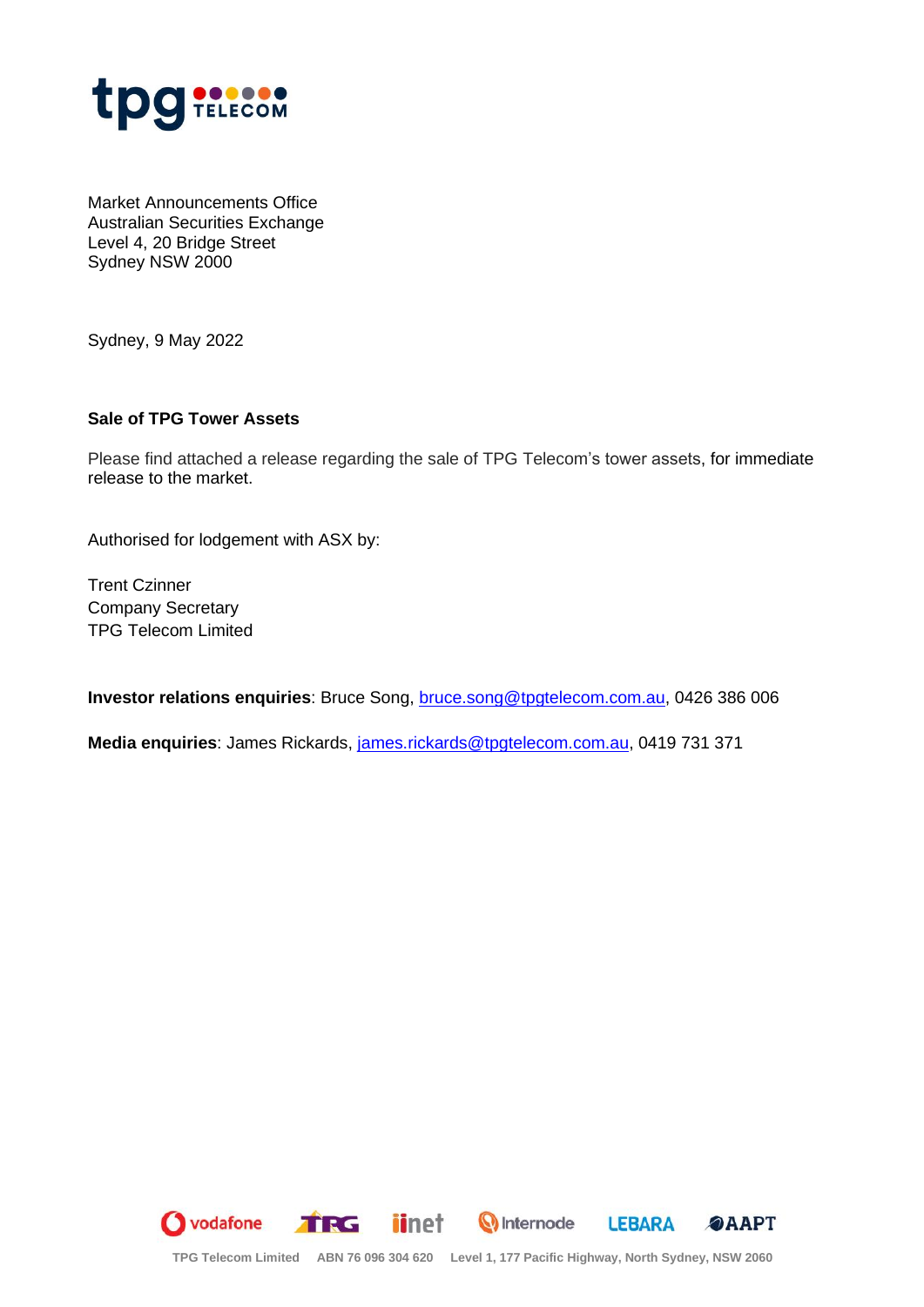

Market Announcements Office Australian Securities Exchange Level 4, 20 Bridge Street Sydney NSW 2000

Sydney, 9 May 2022

## **Sale of TPG Tower Assets**

Please find attached a release regarding the sale of TPG Telecom's tower assets, for immediate release to the market.

Authorised for lodgement with ASX by:

Trent Czinner Company Secretary TPG Telecom Limited

**Investor relations enquiries**: Bruce Song, [bruce.song@tpgtelecom.com.au,](mailto:bruce.song@tpgtelecom.com.au) 0426 386 006

**Media enquiries**: James Rickards, [james.rickards@tpgtelecom.com.au,](mailto:james.rickards@tpgtelecom.com.au) 0419 731 371

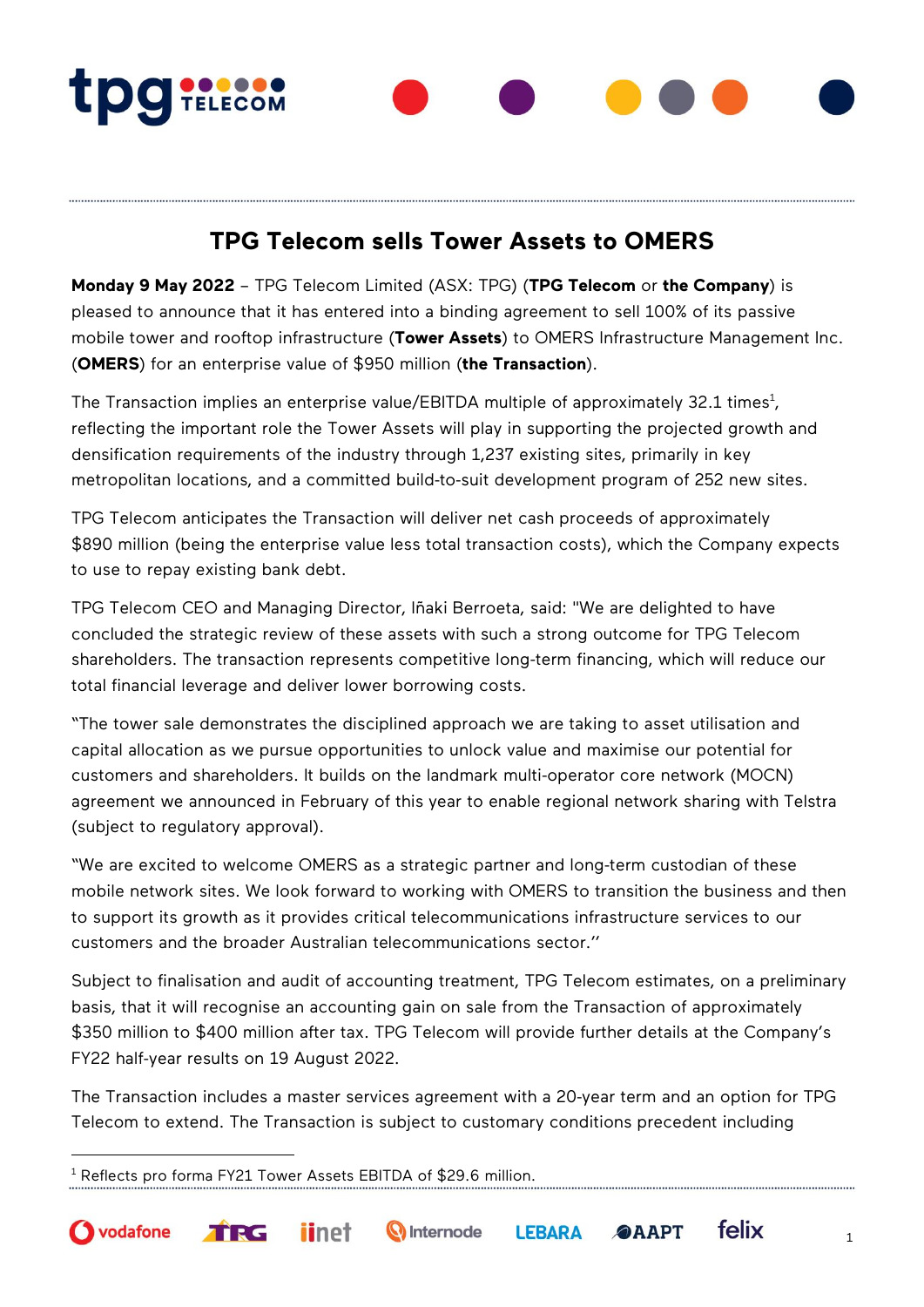**TDg TELECOM** 

## **TPG Telecom sells Tower Assets to OMERS**

**Monday 9 May 2022** – TPG Telecom Limited (ASX: TPG) (**TPG Telecom** or **the Company**) is pleased to announce that it has entered into a binding agreement to sell 100% of its passive mobile tower and rooftop infrastructure (**Tower Assets**) to OMERS Infrastructure Management Inc. (**OMERS**) for an enterprise value of \$950 million (**the Transaction**).

The Transaction implies an enterprise value/EBITDA multiple of approximately 32.1 times $^{\rm 1}$ , reflecting the important role the Tower Assets will play in supporting the projected growth and densification requirements of the industry through 1,237 existing sites, primarily in key metropolitan locations, and a committed build-to-suit development program of 252 new sites.

TPG Telecom anticipates the Transaction will deliver net cash proceeds of approximately \$890 million (being the enterprise value less total transaction costs), which the Company expects to use to repay existing bank debt.

TPG Telecom CEO and Managing Director, Iñaki Berroeta, said: "We are delighted to have concluded the strategic review of these assets with such a strong outcome for TPG Telecom shareholders. The transaction represents competitive long-term financing, which will reduce our total financial leverage and deliver lower borrowing costs.

"The tower sale demonstrates the disciplined approach we are taking to asset utilisation and capital allocation as we pursue opportunities to unlock value and maximise our potential for customers and shareholders. It builds on the landmark multi-operator core network (MOCN) agreement we announced in February of this year to enable regional network sharing with Telstra (subject to regulatory approval).

"We are excited to welcome OMERS as a strategic partner and long-term custodian of these mobile network sites. We look forward to working with OMERS to transition the business and then to support its growth as it provides critical telecommunications infrastructure services to our customers and the broader Australian telecommunications sector.''

Subject to finalisation and audit of accounting treatment, TPG Telecom estimates, on a preliminary basis, that it will recognise an accounting gain on sale from the Transaction of approximately \$350 million to \$400 million after tax. TPG Telecom will provide further details at the Company's FY22 half-year results on 19 August 2022.

The Transaction includes a master services agreement with a 20-year term and an option for TPG Telecom to extend. The Transaction is subject to customary conditions precedent including

<sup>1</sup> Reflects pro forma FY21 Tower Assets EBITDA of \$29.6 million.

TRG